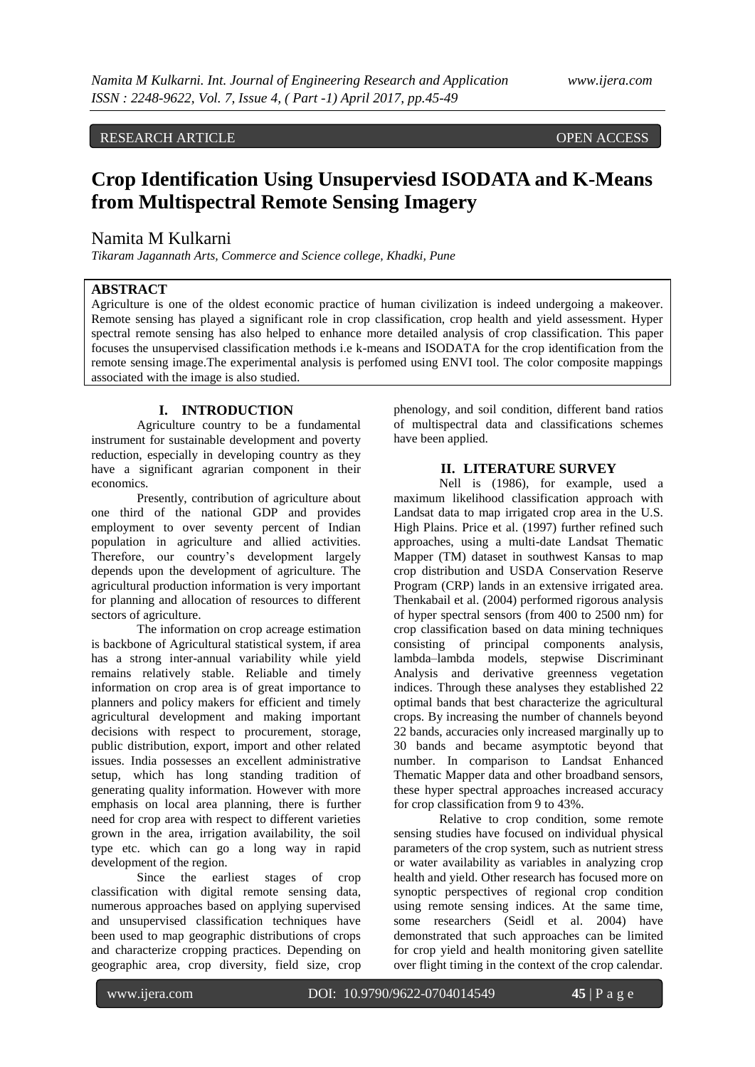# RESEARCH ARTICLE OPEN ACCESS

# **Crop Identification Using Unsuperviesd ISODATA and K-Means from Multispectral Remote Sensing Imagery**

# Namita M Kulkarni

*Tikaram Jagannath Arts, Commerce and Science college, Khadki, Pune*

## **ABSTRACT**

Agriculture is one of the oldest economic practice of human civilization is indeed undergoing a makeover. Remote sensing has played a significant role in crop classification, crop health and yield assessment. Hyper spectral remote sensing has also helped to enhance more detailed analysis of crop classification. This paper focuses the unsupervised classification methods i.e k-means and ISODATA for the crop identification from the remote sensing image.The experimental analysis is perfomed using ENVI tool. The color composite mappings associated with the image is also studied.

## **I. INTRODUCTION**

Agriculture country to be a fundamental instrument for sustainable development and poverty reduction, especially in developing country as they have a significant agrarian component in their economics.

Presently, contribution of agriculture about one third of the national GDP and provides employment to over seventy percent of Indian population in agriculture and allied activities. Therefore, our country's development largely depends upon the development of agriculture. The agricultural production information is very important for planning and allocation of resources to different sectors of agriculture.

The information on crop acreage estimation is backbone of Agricultural statistical system, if area has a strong inter-annual variability while yield remains relatively stable. Reliable and timely information on crop area is of great importance to planners and policy makers for efficient and timely agricultural development and making important decisions with respect to procurement, storage, public distribution, export, import and other related issues. India possesses an excellent administrative setup, which has long standing tradition of generating quality information. However with more emphasis on local area planning, there is further need for crop area with respect to different varieties grown in the area, irrigation availability, the soil type etc. which can go a long way in rapid development of the region.

Since the earliest stages of crop classification with digital remote sensing data, numerous approaches based on applying supervised and unsupervised classification techniques have been used to map geographic distributions of crops and characterize cropping practices. Depending on geographic area, crop diversity, field size, crop

phenology, and soil condition, different band ratios of multispectral data and classifications schemes have been applied.

## **II. LITERATURE SURVEY**

Nell is (1986), for example, used a maximum likelihood classification approach with Landsat data to map irrigated crop area in the U.S. High Plains. Price et al. (1997) further refined such approaches, using a multi-date Landsat Thematic Mapper (TM) dataset in southwest Kansas to map crop distribution and USDA Conservation Reserve Program (CRP) lands in an extensive irrigated area. Thenkabail et al. (2004) performed rigorous analysis of hyper spectral sensors (from 400 to 2500 nm) for crop classification based on data mining techniques consisting of principal components analysis, lambda–lambda models, stepwise Discriminant Analysis and derivative greenness vegetation indices. Through these analyses they established 22 optimal bands that best characterize the agricultural crops. By increasing the number of channels beyond 22 bands, accuracies only increased marginally up to 30 bands and became asymptotic beyond that number. In comparison to Landsat Enhanced Thematic Mapper data and other broadband sensors, these hyper spectral approaches increased accuracy for crop classification from 9 to 43%.

Relative to crop condition, some remote sensing studies have focused on individual physical parameters of the crop system, such as nutrient stress or water availability as variables in analyzing crop health and yield. Other research has focused more on synoptic perspectives of regional crop condition using remote sensing indices. At the same time, some researchers (Seidl et al. 2004) have demonstrated that such approaches can be limited for crop yield and health monitoring given satellite over flight timing in the context of the crop calendar.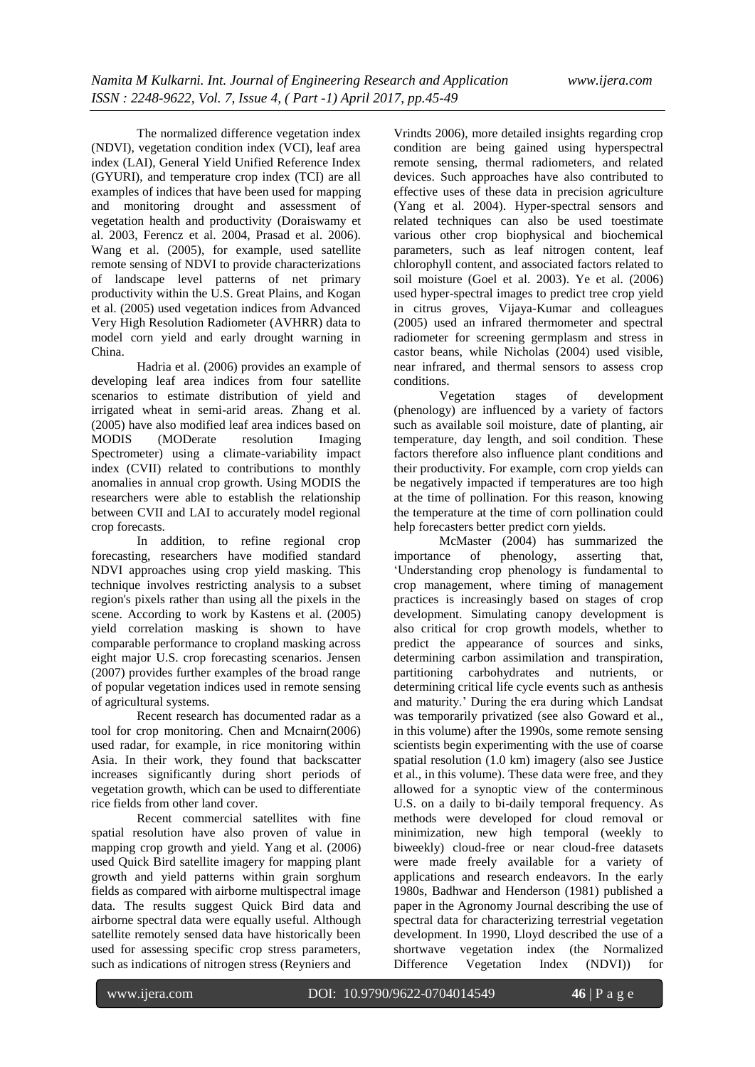The normalized difference vegetation index (NDVI), vegetation condition index (VCI), leaf area index (LAI), General Yield Unified Reference Index (GYURI), and temperature crop index (TCI) are all examples of indices that have been used for mapping and monitoring drought and assessment of vegetation health and productivity (Doraiswamy et al. 2003, Ferencz et al. 2004, Prasad et al. 2006). Wang et al. (2005), for example, used satellite remote sensing of NDVI to provide characterizations of landscape level patterns of net primary productivity within the U.S. Great Plains, and Kogan et al. (2005) used vegetation indices from Advanced Very High Resolution Radiometer (AVHRR) data to model corn yield and early drought warning in China.

Hadria et al. (2006) provides an example of developing leaf area indices from four satellite scenarios to estimate distribution of yield and irrigated wheat in semi-arid areas. Zhang et al. (2005) have also modified leaf area indices based on MODIS (MODerate resolution Imaging Spectrometer) using a climate-variability impact index (CVII) related to contributions to monthly anomalies in annual crop growth. Using MODIS the researchers were able to establish the relationship between CVII and LAI to accurately model regional crop forecasts.

In addition, to refine regional crop forecasting, researchers have modified standard NDVI approaches using crop yield masking. This technique involves restricting analysis to a subset region's pixels rather than using all the pixels in the scene. According to work by Kastens et al. (2005) yield correlation masking is shown to have comparable performance to cropland masking across eight major U.S. crop forecasting scenarios. Jensen (2007) provides further examples of the broad range of popular vegetation indices used in remote sensing of agricultural systems.

Recent research has documented radar as a tool for crop monitoring. Chen and Mcnairn(2006) used radar, for example, in rice monitoring within Asia. In their work, they found that backscatter increases significantly during short periods of vegetation growth, which can be used to differentiate rice fields from other land cover.

Recent commercial satellites with fine spatial resolution have also proven of value in mapping crop growth and yield. Yang et al. (2006) used Quick Bird satellite imagery for mapping plant growth and yield patterns within grain sorghum fields as compared with airborne multispectral image data. The results suggest Quick Bird data and airborne spectral data were equally useful. Although satellite remotely sensed data have historically been used for assessing specific crop stress parameters, such as indications of nitrogen stress (Reyniers and

Vrindts 2006), more detailed insights regarding crop condition are being gained using hyperspectral remote sensing, thermal radiometers, and related devices. Such approaches have also contributed to effective uses of these data in precision agriculture (Yang et al. 2004). Hyper-spectral sensors and related techniques can also be used toestimate various other crop biophysical and biochemical parameters, such as leaf nitrogen content, leaf chlorophyll content, and associated factors related to soil moisture (Goel et al. 2003). Ye et al. (2006) used hyper-spectral images to predict tree crop yield in citrus groves, Vijaya-Kumar and colleagues (2005) used an infrared thermometer and spectral radiometer for screening germplasm and stress in castor beans, while Nicholas (2004) used visible, near infrared, and thermal sensors to assess crop conditions.

Vegetation stages of development (phenology) are influenced by a variety of factors such as available soil moisture, date of planting, air temperature, day length, and soil condition. These factors therefore also influence plant conditions and their productivity. For example, corn crop yields can be negatively impacted if temperatures are too high at the time of pollination. For this reason, knowing the temperature at the time of corn pollination could help forecasters better predict corn yields.

McMaster (2004) has summarized the importance of phenology, asserting that, 'Understanding crop phenology is fundamental to crop management, where timing of management practices is increasingly based on stages of crop development. Simulating canopy development is also critical for crop growth models, whether to predict the appearance of sources and sinks, determining carbon assimilation and transpiration, partitioning carbohydrates and nutrients, or determining critical life cycle events such as anthesis and maturity.' During the era during which Landsat was temporarily privatized (see also Goward et al., in this volume) after the 1990s, some remote sensing scientists begin experimenting with the use of coarse spatial resolution (1.0 km) imagery (also see Justice et al., in this volume). These data were free, and they allowed for a synoptic view of the conterminous U.S. on a daily to bi-daily temporal frequency. As methods were developed for cloud removal or minimization, new high temporal (weekly to biweekly) cloud-free or near cloud-free datasets were made freely available for a variety of applications and research endeavors. In the early 1980s, Badhwar and Henderson (1981) published a paper in the Agronomy Journal describing the use of spectral data for characterizing terrestrial vegetation development. In 1990, Lloyd described the use of a shortwave vegetation index (the Normalized Difference Vegetation Index (NDVI)) for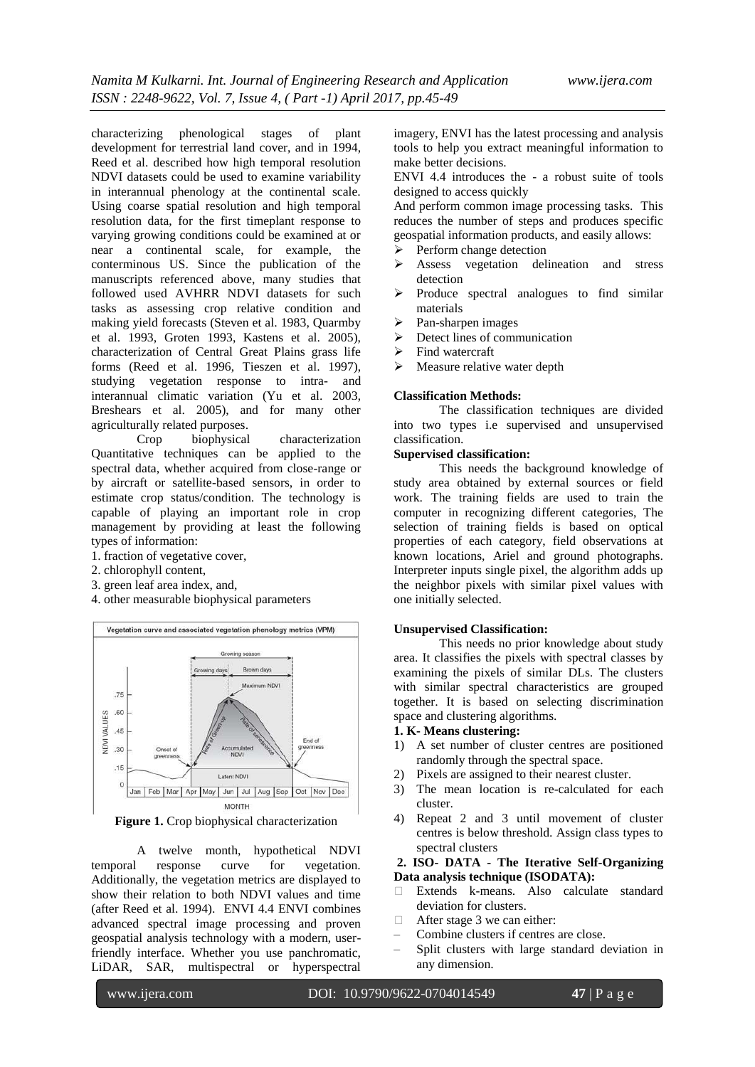characterizing phenological stages of plant development for terrestrial land cover, and in 1994, Reed et al. described how high temporal resolution NDVI datasets could be used to examine variability in interannual phenology at the continental scale. Using coarse spatial resolution and high temporal resolution data, for the first timeplant response to varying growing conditions could be examined at or near a continental scale, for example, the conterminous US. Since the publication of the manuscripts referenced above, many studies that followed used AVHRR NDVI datasets for such tasks as assessing crop relative condition and making yield forecasts (Steven et al. 1983, Quarmby et al. 1993, Groten 1993, Kastens et al. 2005), characterization of Central Great Plains grass life forms (Reed et al. 1996, Tieszen et al. 1997), studying vegetation response to intra- and interannual climatic variation (Yu et al. 2003, Breshears et al. 2005), and for many other agriculturally related purposes.

Crop biophysical characterization Quantitative techniques can be applied to the spectral data, whether acquired from close-range or by aircraft or satellite-based sensors, in order to estimate crop status/condition. The technology is capable of playing an important role in crop management by providing at least the following types of information:

1. fraction of vegetative cover,

- 2. chlorophyll content,
- 3. green leaf area index, and,
- 4. other measurable biophysical parameters



**Figure 1.** Crop biophysical characterization

A twelve month, hypothetical NDVI temporal response curve for vegetation. Additionally, the vegetation metrics are displayed to show their relation to both NDVI values and time (after Reed et al. 1994). ENVI 4.4 ENVI combines advanced spectral image processing and proven geospatial analysis technology with a modern, userfriendly interface. Whether you use panchromatic, LiDAR, SAR, multispectral or hyperspectral

imagery, ENVI has the latest processing and analysis tools to help you extract meaningful information to make better decisions.

ENVI 4.4 introduces the - a robust suite of tools designed to access quickly

And perform common image processing tasks. This reduces the number of steps and produces specific geospatial information products, and easily allows:

- $\triangleright$  Perform change detection
- Assess vegetation delineation and stress detection
- $\triangleright$  Produce spectral analogues to find similar materials
- $\triangleright$  Pan-sharpen images
- $\triangleright$  Detect lines of communication
- $\triangleright$  Find watercraft
- Measure relative water depth

#### **Classification Methods:**

The classification techniques are divided into two types i.e supervised and unsupervised classification.

#### **Supervised classification:**

This needs the background knowledge of study area obtained by external sources or field work. The training fields are used to train the computer in recognizing different categories, The selection of training fields is based on optical properties of each category, field observations at known locations, Ariel and ground photographs. Interpreter inputs single pixel, the algorithm adds up the neighbor pixels with similar pixel values with one initially selected.

## **Unsupervised Classification:**

This needs no prior knowledge about study area. It classifies the pixels with spectral classes by examining the pixels of similar DLs. The clusters with similar spectral characteristics are grouped together. It is based on selecting discrimination space and clustering algorithms.

## **1. K- Means clustering:**

- 1) A set number of cluster centres are positioned randomly through the spectral space.
- 2) Pixels are assigned to their nearest cluster.
- 3) The mean location is re-calculated for each cluster.
- 4) Repeat 2 and 3 until movement of cluster centres is below threshold. Assign class types to spectral clusters

#### **2. ISO- DATA - The Iterative Self-Organizing Data analysis technique (ISODATA):**

- Extends k-means. Also calculate standard deviation for clusters.
- $\Box$  After stage 3 we can either:
- Combine clusters if centres are close.
- Split clusters with large standard deviation in any dimension.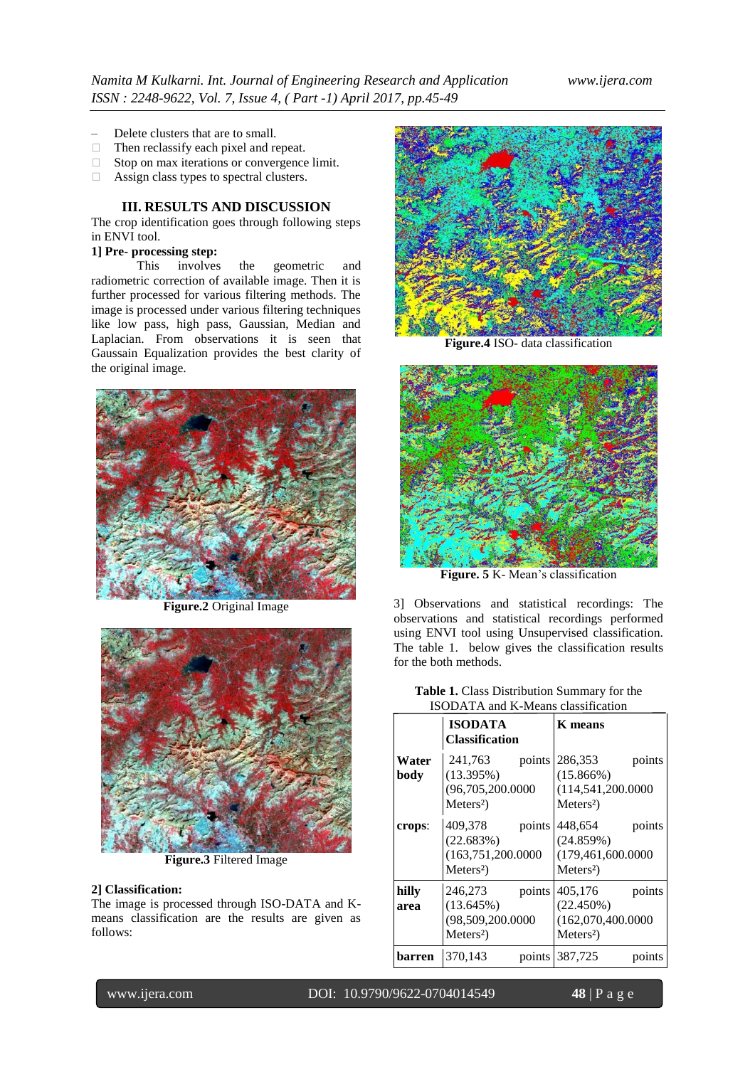- Delete clusters that are to small.
- □ Then reclassify each pixel and repeat.
- $\Box$  Stop on max iterations or convergence limit.
- Assign class types to spectral clusters.

## **III. RESULTS AND DISCUSSION**

The crop identification goes through following steps in ENVI tool.

## **1] Pre- processing step:**

This involves the geometric and radiometric correction of available image. Then it is further processed for various filtering methods. The image is processed under various filtering techniques like low pass, high pass, Gaussian, Median and Laplacian. From observations it is seen that Gaussain Equalization provides the best clarity of the original image.



**Figure.2** Original Image



**Figure.3** Filtered Image

#### **2] Classification:**

The image is processed through ISO-DATA and Kmeans classification are the results are given as follows:



**Figure.4** ISO- data classification



**Figure. 5** K- Mean's classification

3] Observations and statistical recordings: The observations and statistical recordings performed using ENVI tool using Unsupervised classification. The table 1. below gives the classification results for the both methods.

| Table 1. Class Distribution Summary for the |
|---------------------------------------------|
| <b>ISODATA</b> and K-Means classification   |

|               | <b>ISODATA</b><br><b>Classification</b>                                     | <b>K</b> means                                                                 |
|---------------|-----------------------------------------------------------------------------|--------------------------------------------------------------------------------|
| Water<br>body | 241,763<br>points<br>$(13.395\%)$                                           | 286,353<br>points<br>$(15.866\%)$                                              |
|               | (96,705,200.0000)<br>Meters <sup>2</sup>                                    | (114, 541, 200.0000<br>Meters <sup>2</sup>                                     |
| crops:        | 409,378<br>points<br>(22.683%)<br>(163,751,200.0000)<br>Meters <sup>2</sup> | 448,654<br>points<br>(24.859%)<br>(179, 461, 600.0000)<br>Meters <sup>2</sup>  |
| hilly<br>area | 246,273<br>points<br>(13.645%)<br>(98,509,200.0000<br>Meters <sup>2</sup>   | 405,176<br>points<br>$(22.450\%)$<br>(162,070,400.0000)<br>Meters <sup>2</sup> |
| barren        | 370.143<br>points                                                           | 387,725<br>points                                                              |

www.ijera.com DOI: 10.9790/9622-0704014549 **48** | P a g e